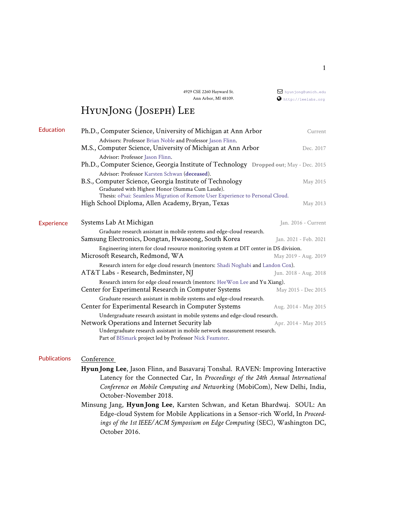4929 CSE 2260 Hayward St. Ann Arbor, MI 48109.

## [hyunjong@umich.edu](mailto:hyunjong@umich.edu) <http://leelabs.org>

# HyunJong (Joseph) Lee

|                                                                                                                                                             | Current                                                                                                                                                                                                                                                                                                                                                                                                                                                                                                                                                                                                                                                                                                                                                                                                                                                                                                                                       |
|-------------------------------------------------------------------------------------------------------------------------------------------------------------|-----------------------------------------------------------------------------------------------------------------------------------------------------------------------------------------------------------------------------------------------------------------------------------------------------------------------------------------------------------------------------------------------------------------------------------------------------------------------------------------------------------------------------------------------------------------------------------------------------------------------------------------------------------------------------------------------------------------------------------------------------------------------------------------------------------------------------------------------------------------------------------------------------------------------------------------------|
| Advisors: Professor Brian Noble and Professor Jason Flinn.                                                                                                  | Dec. 2017                                                                                                                                                                                                                                                                                                                                                                                                                                                                                                                                                                                                                                                                                                                                                                                                                                                                                                                                     |
| Advisor: Professor Jason Flinn.                                                                                                                             |                                                                                                                                                                                                                                                                                                                                                                                                                                                                                                                                                                                                                                                                                                                                                                                                                                                                                                                                               |
| Advisor: Professor Karsten Schwan (deceased).<br>B.S., Computer Science, Georgia Institute of Technology<br>Graduated with Highest Honor (Summa Cum Laude). | May 2015                                                                                                                                                                                                                                                                                                                                                                                                                                                                                                                                                                                                                                                                                                                                                                                                                                                                                                                                      |
| High School Diploma, Allen Academy, Bryan, Texas                                                                                                            | May 2013                                                                                                                                                                                                                                                                                                                                                                                                                                                                                                                                                                                                                                                                                                                                                                                                                                                                                                                                      |
| Systems Lab At Michigan                                                                                                                                     | Jan. 2016 - Current                                                                                                                                                                                                                                                                                                                                                                                                                                                                                                                                                                                                                                                                                                                                                                                                                                                                                                                           |
| Samsung Electronics, Dongtan, Hwaseong, South Korea                                                                                                         | Jan. 2021 - Feb. 2021                                                                                                                                                                                                                                                                                                                                                                                                                                                                                                                                                                                                                                                                                                                                                                                                                                                                                                                         |
| Microsoft Research, Redmond, WA                                                                                                                             | May 2019 - Aug. 2019                                                                                                                                                                                                                                                                                                                                                                                                                                                                                                                                                                                                                                                                                                                                                                                                                                                                                                                          |
| AT&T Labs - Research, Bedminster, NJ                                                                                                                        | Jun. 2018 - Aug. 2018                                                                                                                                                                                                                                                                                                                                                                                                                                                                                                                                                                                                                                                                                                                                                                                                                                                                                                                         |
| Center for Experimental Research in Computer Systems                                                                                                        | May 2015 - Dec 2015                                                                                                                                                                                                                                                                                                                                                                                                                                                                                                                                                                                                                                                                                                                                                                                                                                                                                                                           |
| Center for Experimental Research in Computer Systems                                                                                                        | Aug. 2014 - May 2015                                                                                                                                                                                                                                                                                                                                                                                                                                                                                                                                                                                                                                                                                                                                                                                                                                                                                                                          |
| Network Operations and Internet Security lab                                                                                                                | Apr. 2014 - May 2015                                                                                                                                                                                                                                                                                                                                                                                                                                                                                                                                                                                                                                                                                                                                                                                                                                                                                                                          |
|                                                                                                                                                             | Ph.D., Computer Science, University of Michigan at Ann Arbor<br>M.S., Computer Science, University of Michigan at Ann Arbor<br>Ph.D., Computer Science, Georgia Institute of Technology Dropped out; May - Dec. 2015<br>Thesis: oPsai: Seamless Migration of Remote User Experience to Personal Cloud.<br>Graduate research assistant in mobile systems and edge-cloud research.<br>Engineering intern for cloud resource monitoring system at DIT center in DS division.<br>Research intern for edge cloud research (mentors: Shadi Noghabi and Landon Cox).<br>Research intern for edge cloud research (mentors: Hee Won Lee and Yu Xiang).<br>Graduate research assistant in mobile systems and edge-cloud research.<br>Undergraduate research assistant in mobile systems and edge-cloud research.<br>Undergraduate research assistant in mobile network measurement research.<br>Part of BISmark project led by Professor Nick Feamster. |

## Publications Conference

- **HyunJong Lee**, Jason Flinn, and Basavaraj Tonshal. RAVEN: Improving Interactive Latency for the Connected Car, In *Proceedings of the 24th Annual International Conference on Mobile Computing and Networking* (MobiCom), New Delhi, India, October-November 2018.
- Minsung Jang, **HyunJong Lee**, Karsten Schwan, and Ketan Bhardwaj. SOUL: An Edge-cloud System for Mobile Applications in a Sensor-rich World, In *Proceedings of the 1st IEEE/ACM Symposium on Edge Computing* (SEC), Washington DC, October 2016.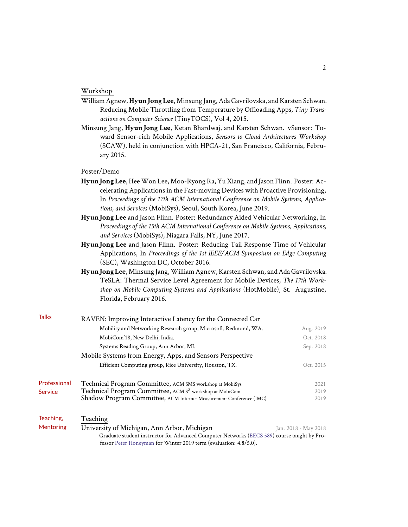### Workshop

- William Agnew, **HyunJong Lee**, Minsung Jang, Ada Gavrilovska, and Karsten Schwan. Reducing Mobile Throttling from Temperature by Offloading Apps, *Tiny Transactions on Computer Science* (TinyTOCS), Vol 4, 2015.
- Minsung Jang, **HyunJong Lee**, Ketan Bhardwaj, and Karsten Schwan. vSensor: Toward Sensor-rich Mobile Applications, *Sensors to Cloud Architectures Workshop* (SCAW), held in conjunction with HPCA-21, San Francisco, California, February 2015.

### Poster/Demo

- **HyunJong Lee**, HeeWon Lee, Moo-Ryong Ra, Yu Xiang, and Jason Flinn. Poster: Accelerating Applications in the Fast-moving Devices with Proactive Provisioning, In *Proceedings of the 17th ACM International Conference on Mobile Systems, Applications, and Services* (MobiSys), Seoul, South Korea, June 2019.
- **HyunJong Lee** and Jason Flinn. Poster: Redundancy Aided Vehicular Networking, In *Proceedings of the 15th ACM International Conference on Mobile Systems, Applications, and Services* (MobiSys), Niagara Falls, NY, June 2017.
- **HyunJong Lee** and Jason Flinn. Poster: Reducing Tail Response Time of Vehicular Applications, In *Proceedings of the 1st IEEE/ACM Symposium on Edge Computing* (SEC), Washington DC, October 2016.
- **HyunJong Lee**, Minsung Jang,William Agnew, Karsten Schwan, and Ada Gavrilovska. TeSLA: Thermal Service Level Agreement for Mobile Devices, *The 17th Workshop on Mobile Computing Systems and Applications* (HotMobile), St. Augustine, Florida, February 2016.

| <b>Talks</b> | RAVEN: Improving Interactive Latency for the Connected Car          |           |
|--------------|---------------------------------------------------------------------|-----------|
|              | Mobility and Networking Research group, Microsoft, Redmond, WA.     | Aug. 2019 |
|              | MobiCom'18, New Delhi, India.                                       | Oct. 2018 |
|              | Systems Reading Group, Ann Arbor, MI.                               | Sep. 2018 |
|              | Mobile Systems from Energy, Apps, and Sensors Perspective           |           |
|              | Efficient Computing group, Rice University, Houston, TX.            | Oct. 2015 |
| Professional | Technical Program Committee, ACM SMS workshop at MobiSys            | 2021      |
| Service      | Technical Program Committee, ACM S <sup>3</sup> workshop at MobiCom | 2019      |
|              | Shadow Program Committee, ACM Internet Measurement Conference (IMC) | 2019      |
| Teaching.    | Teaching                                                            |           |

| Mentoring | University of Michigan, Ann Arbor, Michigan<br>Jan. 2018 - May 2018                         |
|-----------|---------------------------------------------------------------------------------------------|
|           | Graduate student instructor for Advanced Computer Networks (EECS 589) course taught by Pro- |
|           | fessor Peter Honeyman for Winter 2019 term (evaluation: 4.8/5.0).                           |